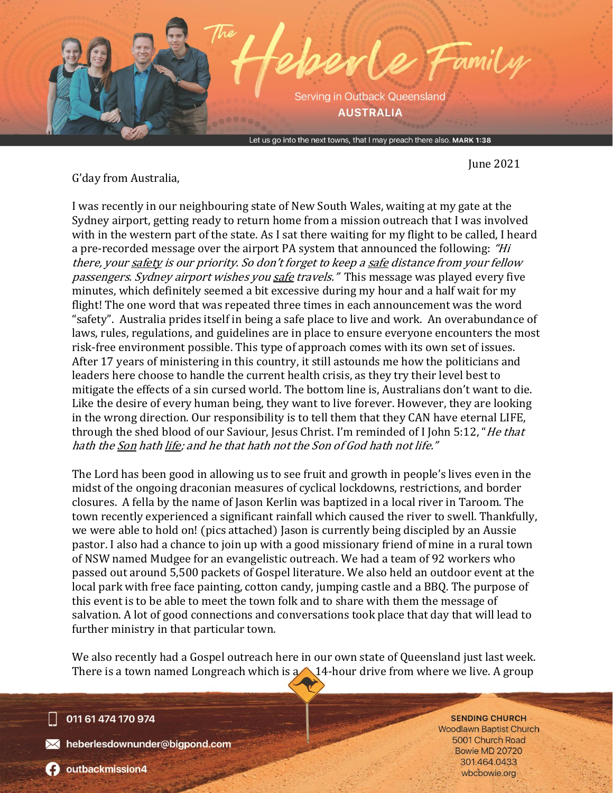

June 2021

G'day from Australia,

I was recently in our neighbouring state of New South Wales, waiting at my gate at the Sydney airport, getting ready to return home from a mission outreach that I was involved with in the western part of the state. As I sat there waiting for my flight to be called, I heard a pre-recorded message over the airport PA system that announced the following: "Hi there, your safety is our priority. So don't forget to keep a safe distance from your fellow passengers. Sydney airport wishes you safe travels." This message was played every five minutes, which definitely seemed a bit excessive during my hour and a half wait for my flight! The one word that was repeated three times in each announcement was the word "safety". Australia prides itself in being a safe place to live and work. An overabundance of laws, rules, regulations, and guidelines are in place to ensure everyone encounters the most risk-free environment possible. This type of approach comes with its own set of issues. After 17 years of ministering in this country, it still astounds me how the politicians and leaders here choose to handle the current health crisis, as they try their level best to mitigate the effects of a sin cursed world. The bottom line is, Australians don't want to die. Like the desire of every human being, they want to live forever. However, they are looking in the wrong direction. Our responsibility is to tell them that they CAN have eternal LIFE, through the shed blood of our Saviour, Jesus Christ. I'm reminded of I John 5:12, "He that hath the Son hath life; and he that hath not the Son of God hath not life."

The Lord has been good in allowing us to see fruit and growth in people's lives even in the midst of the ongoing draconian measures of cyclical lockdowns, restrictions, and border closures. A fella by the name of Jason Kerlin was baptized in a local river in Taroom. The town recently experienced a significant rainfall which caused the river to swell. Thankfully, we were able to hold on! (pics attached) Jason is currently being discipled by an Aussie pastor. I also had a chance to join up with a good missionary friend of mine in a rural town of NSW named Mudgee for an evangelistic outreach. We had a team of 92 workers who passed out around 5,500 packets of Gospel literature. We also held an outdoor event at the local park with free face painting, cotton candy, jumping castle and a BBQ. The purpose of this event is to be able to meet the town folk and to share with them the message of salvation. A lot of good connections and conversations took place that day that will lead to further ministry in that particular town.

We also recently had a Gospel outreach here in our own state of Queensland just last week. There is a town named Longreach which is  $\alpha$  14-hour drive from where we live. A group

011 61 474 170 974

Meberlesdownunder@bigpond.com

**SENDING CHURCH Woodlawn Baptist Church** 5001 Church Road **Bowie MD 20720** 301.464.0433 wbcbowie.org